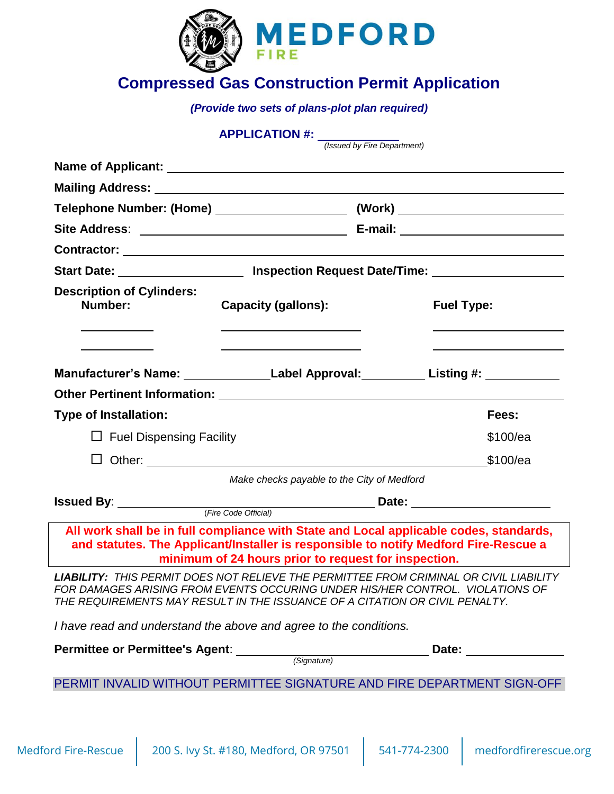| <b>MEDFORD</b><br>FIRE                                                                                                                                                                                                                                        |                   |  |  |  |
|---------------------------------------------------------------------------------------------------------------------------------------------------------------------------------------------------------------------------------------------------------------|-------------------|--|--|--|
| <b>Compressed Gas Construction Permit Application</b>                                                                                                                                                                                                         |                   |  |  |  |
| (Provide two sets of plans-plot plan required)                                                                                                                                                                                                                |                   |  |  |  |
| <b>APPLICATION #:</b> $\frac{1}{\sqrt{3}}$ ( <i>Issued by Fire Department</i> )                                                                                                                                                                               |                   |  |  |  |
|                                                                                                                                                                                                                                                               |                   |  |  |  |
|                                                                                                                                                                                                                                                               |                   |  |  |  |
|                                                                                                                                                                                                                                                               |                   |  |  |  |
|                                                                                                                                                                                                                                                               |                   |  |  |  |
|                                                                                                                                                                                                                                                               |                   |  |  |  |
|                                                                                                                                                                                                                                                               |                   |  |  |  |
| Start Date: ___________________________ Inspection Request Date/Time: _________________<br><b>Description of Cylinders:</b>                                                                                                                                   |                   |  |  |  |
| Number:<br><b>Capacity (gallons):</b>                                                                                                                                                                                                                         | <b>Fuel Type:</b> |  |  |  |
|                                                                                                                                                                                                                                                               |                   |  |  |  |
|                                                                                                                                                                                                                                                               |                   |  |  |  |
| Manufacturer's Name: ____________________Label Approval: _____________Listing #: _____________                                                                                                                                                                |                   |  |  |  |
| Other Pertinent Information: New York Changes and School and School and School and School and School and School and School and School and School and School and School and School and School and School and School and School                                 |                   |  |  |  |
| <b>Type of Installation:</b>                                                                                                                                                                                                                                  | Fees:             |  |  |  |
| $\Box$ Fuel Dispensing Facility                                                                                                                                                                                                                               | \$100/ea          |  |  |  |
| □ Other: __________________                                                                                                                                                                                                                                   | \$100/ea          |  |  |  |
| Make checks payable to the City of Medford                                                                                                                                                                                                                    |                   |  |  |  |
| <b>Issued By:</b>                                                                                                                                                                                                                                             | Date:             |  |  |  |
| (Fire Code Official)                                                                                                                                                                                                                                          |                   |  |  |  |
| All work shall be in full compliance with State and Local applicable codes, standards,<br>and statutes. The Applicant/Installer is responsible to notify Medford Fire-Rescue a<br>minimum of 24 hours prior to request for inspection.                        |                   |  |  |  |
| <b>LIABILITY: THIS PERMIT DOES NOT RELIEVE THE PERMITTEE FROM CRIMINAL OR CIVIL LIABILITY</b><br>FOR DAMAGES ARISING FROM EVENTS OCCURING UNDER HIS/HER CONTROL. VIOLATIONS OF<br>THE REQUIREMENTS MAY RESULT IN THE ISSUANCE OF A CITATION OR CIVIL PENALTY. |                   |  |  |  |
| I have read and understand the above and agree to the conditions.                                                                                                                                                                                             |                   |  |  |  |
| Permittee or Permittee's Agent:<br>(Signature)                                                                                                                                                                                                                | Date:             |  |  |  |
| PERMIT INVALID WITHOUT PERMITTEE SIGNATURE AND FIRE DEPARTMENT SIGN-OFF                                                                                                                                                                                       |                   |  |  |  |
|                                                                                                                                                                                                                                                               |                   |  |  |  |
|                                                                                                                                                                                                                                                               |                   |  |  |  |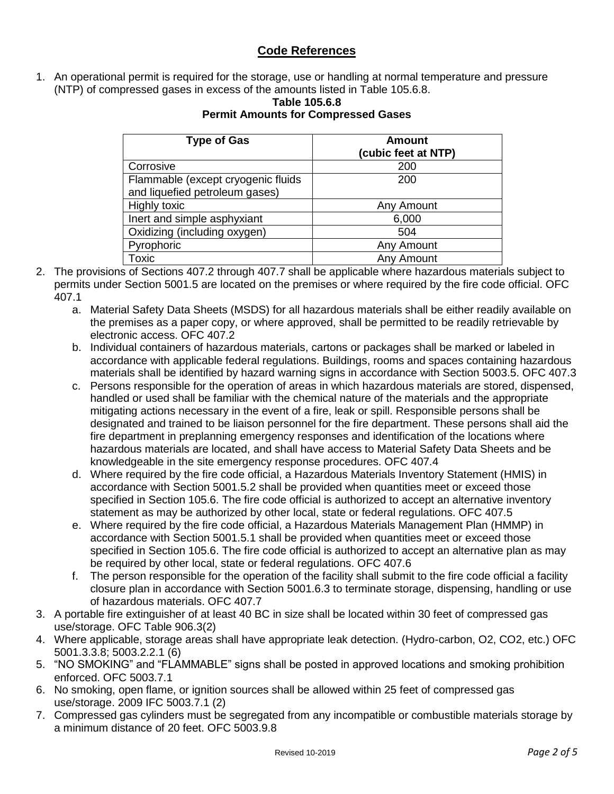## **Code References**

1. An operational permit is required for the storage, use or handling at normal temperature and pressure (NTP) of compressed gases in excess of the amounts listed in Table 105.6.8.

| <b>Type of Gas</b>                                                   | Amount<br>(cubic feet at NTP) |  |
|----------------------------------------------------------------------|-------------------------------|--|
| Corrosive                                                            | 200                           |  |
| Flammable (except cryogenic fluids<br>and liquefied petroleum gases) | 200                           |  |
| Highly toxic                                                         | Any Amount                    |  |
| Inert and simple asphyxiant                                          | 6,000                         |  |
| Oxidizing (including oxygen)                                         | 504                           |  |
| Pyrophoric                                                           | Any Amount                    |  |
| Toxic                                                                | Any Amount                    |  |

## **Table 105.6.8 Permit Amounts for Compressed Gases**

- 2. The provisions of Sections 407.2 through 407.7 shall be applicable where hazardous materials subject to permits under Section 5001.5 are located on the premises or where required by the fire code official. OFC 407.1
	- a. Material Safety Data Sheets (MSDS) for all hazardous materials shall be either readily available on the premises as a paper copy, or where approved, shall be permitted to be readily retrievable by electronic access. OFC 407.2
	- b. Individual containers of hazardous materials, cartons or packages shall be marked or labeled in accordance with applicable federal regulations. Buildings, rooms and spaces containing hazardous materials shall be identified by hazard warning signs in accordance with Section 5003.5. OFC 407.3
	- c. Persons responsible for the operation of areas in which hazardous materials are stored, dispensed, handled or used shall be familiar with the chemical nature of the materials and the appropriate mitigating actions necessary in the event of a fire, leak or spill. Responsible persons shall be designated and trained to be liaison personnel for the fire department. These persons shall aid the fire department in preplanning emergency responses and identification of the locations where hazardous materials are located, and shall have access to Material Safety Data Sheets and be knowledgeable in the site emergency response procedures. OFC 407.4
	- d. Where required by the fire code official, a Hazardous Materials Inventory Statement (HMIS) in accordance with Section 5001.5.2 shall be provided when quantities meet or exceed those specified in Section 105.6. The fire code official is authorized to accept an alternative inventory statement as may be authorized by other local, state or federal regulations. OFC 407.5
	- e. Where required by the fire code official, a Hazardous Materials Management Plan (HMMP) in accordance with Section 5001.5.1 shall be provided when quantities meet or exceed those specified in Section 105.6. The fire code official is authorized to accept an alternative plan as may be required by other local, state or federal regulations. OFC 407.6
	- f. The person responsible for the operation of the facility shall submit to the fire code official a facility closure plan in accordance with Section 5001.6.3 to terminate storage, dispensing, handling or use of hazardous materials. OFC 407.7
- 3. A portable fire extinguisher of at least 40 BC in size shall be located within 30 feet of compressed gas use/storage. OFC Table 906.3(2)
- 4. Where applicable, storage areas shall have appropriate leak detection. (Hydro-carbon, O2, CO2, etc.) OFC 5001.3.3.8; 5003.2.2.1 (6)
- 5. "NO SMOKING" and "FLAMMABLE" signs shall be posted in approved locations and smoking prohibition enforced. OFC 5003.7.1
- 6. No smoking, open flame, or ignition sources shall be allowed within 25 feet of compressed gas use/storage. 2009 IFC 5003.7.1 (2)
- 7. Compressed gas cylinders must be segregated from any incompatible or combustible materials storage by a minimum distance of 20 feet. OFC 5003.9.8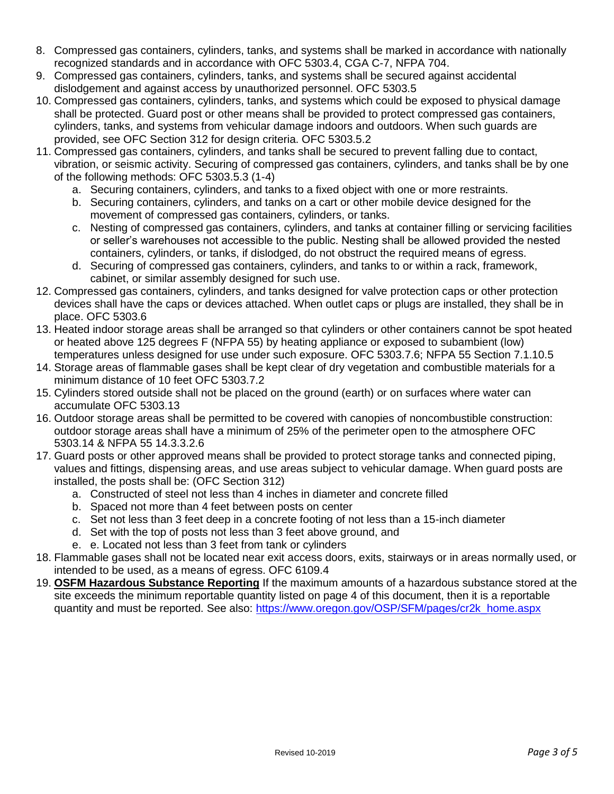- 8. Compressed gas containers, cylinders, tanks, and systems shall be marked in accordance with nationally recognized standards and in accordance with OFC 5303.4, CGA C-7, NFPA 704.
- 9. Compressed gas containers, cylinders, tanks, and systems shall be secured against accidental dislodgement and against access by unauthorized personnel. OFC 5303.5
- 10. Compressed gas containers, cylinders, tanks, and systems which could be exposed to physical damage shall be protected. Guard post or other means shall be provided to protect compressed gas containers, cylinders, tanks, and systems from vehicular damage indoors and outdoors. When such guards are provided, see OFC Section 312 for design criteria. OFC 5303.5.2
- 11. Compressed gas containers, cylinders, and tanks shall be secured to prevent falling due to contact, vibration, or seismic activity. Securing of compressed gas containers, cylinders, and tanks shall be by one of the following methods: OFC 5303.5.3 (1-4)
	- a. Securing containers, cylinders, and tanks to a fixed object with one or more restraints.
	- b. Securing containers, cylinders, and tanks on a cart or other mobile device designed for the movement of compressed gas containers, cylinders, or tanks.
	- c. Nesting of compressed gas containers, cylinders, and tanks at container filling or servicing facilities or seller's warehouses not accessible to the public. Nesting shall be allowed provided the nested containers, cylinders, or tanks, if dislodged, do not obstruct the required means of egress.
	- d. Securing of compressed gas containers, cylinders, and tanks to or within a rack, framework, cabinet, or similar assembly designed for such use.
- 12. Compressed gas containers, cylinders, and tanks designed for valve protection caps or other protection devices shall have the caps or devices attached. When outlet caps or plugs are installed, they shall be in place. OFC 5303.6
- 13. Heated indoor storage areas shall be arranged so that cylinders or other containers cannot be spot heated or heated above 125 degrees F (NFPA 55) by heating appliance or exposed to subambient (low) temperatures unless designed for use under such exposure. OFC 5303.7.6; NFPA 55 Section 7.1.10.5
- 14. Storage areas of flammable gases shall be kept clear of dry vegetation and combustible materials for a minimum distance of 10 feet OFC 5303.7.2
- 15. Cylinders stored outside shall not be placed on the ground (earth) or on surfaces where water can accumulate OFC 5303.13
- 16. Outdoor storage areas shall be permitted to be covered with canopies of noncombustible construction: outdoor storage areas shall have a minimum of 25% of the perimeter open to the atmosphere OFC 5303.14 & NFPA 55 14.3.3.2.6
- 17. Guard posts or other approved means shall be provided to protect storage tanks and connected piping, values and fittings, dispensing areas, and use areas subject to vehicular damage. When guard posts are installed, the posts shall be: (OFC Section 312)
	- a. Constructed of steel not less than 4 inches in diameter and concrete filled
	- b. Spaced not more than 4 feet between posts on center
	- c. Set not less than 3 feet deep in a concrete footing of not less than a 15-inch diameter
	- d. Set with the top of posts not less than 3 feet above ground, and
	- e. e. Located not less than 3 feet from tank or cylinders
- 18. Flammable gases shall not be located near exit access doors, exits, stairways or in areas normally used, or intended to be used, as a means of egress. OFC 6109.4
- 19. **OSFM Hazardous Substance Reporting** If the maximum amounts of a hazardous substance stored at the site exceeds the minimum reportable quantity listed on page 4 of this document, then it is a reportable quantity and must be reported. See also: [https://www.oregon.gov/OSP/SFM/pages/cr2k\\_home.aspx](https://www.oregon.gov/OSP/SFM/pages/cr2k_home.aspx)